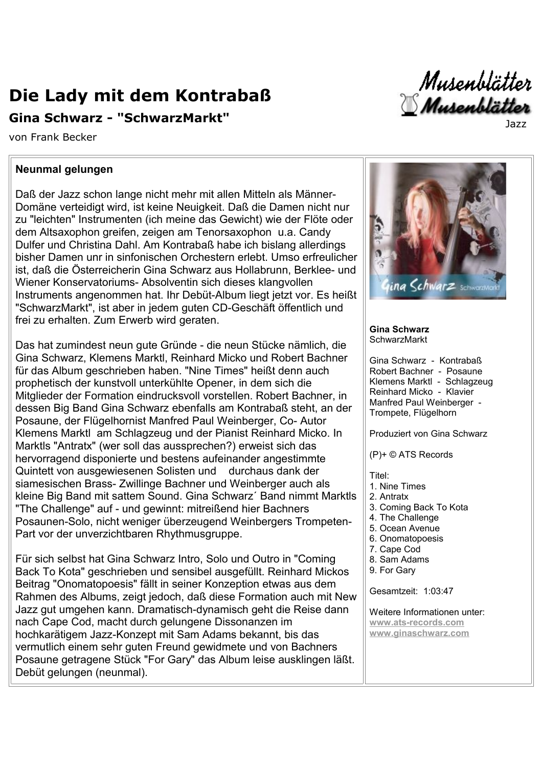## Die Lady mit dem Kontrabaß

## Gina Schwarz - "SchwarzMarkt"

von Frank Becker

## Neunmal gelungen

Daß der Jazz schon lange nicht mehr mit allen Mitteln als Männer-Domäne verteidigt wird, ist keine Neuigkeit. Daß die Damen nicht nur zu "leichten" Instrumenten (ich meine das Gewicht) wie der Flöte oder dem Altsaxophon greifen, zeigen am Tenorsaxophon u.a. Candy Dulfer und Christina Dahl. Am Kontrabaß habe ich bislang allerdings bisher Damen unr in sinfonischen Orchestern erlebt. Umso erfreulicher ist, daß die Österreicherin Gina Schwarz aus Hollabrunn. Berklee- und Wiener Konservatoriums- Absolventin sich dieses klangvollen Instruments angenommen hat. Ihr Debüt-Album liegt jetzt vor. Es heißt "SchwarzMarkt", ist aber in jedem guten CD-Geschäft öffentlich und frei zu erhalten. Zum Erwerb wird geraten.

Das hat zumindest neun qute Gründe - die neun Stücke nämlich, die Gina Schwarz, Klemens Marktl, Reinhard Micko und Robert Bachner für das Album geschrieben haben. "Nine Times" heißt denn auch prophetisch der kunstvoll unterkühlte Opener, in dem sich die Mitglieder der Formation eindrucksvoll vorstellen. Robert Bachner, in dessen Big Band Gina Schwarz ebenfalls am Kontrabaß steht, an der Posaune, der Flügelhornist Manfred Paul Weinberger, Co-Autor Klemens Marktl am Schlagzeug und der Pianist Reinhard Micko. In Marktls "Antratx" (wer soll das aussprechen?) erweist sich das hervorragend disponierte und bestens aufeinander angestimmte Quintett von ausgewiesenen Solisten und durchaus dank der siamesischen Brass- Zwillinge Bachner und Weinberger auch als kleine Big Band mit sattem Sound. Gina Schwarz' Band nimmt Marktls "The Challenge" auf - und gewinnt: mitreißend hier Bachners Posaunen-Solo, nicht weniger überzeugend Weinbergers Trompeten-Part vor der unverzichtbaren Rhythmusgruppe.

Für sich selbst hat Gina Schwarz Intro, Solo und Outro in "Coming" Back To Kota" geschrieben und sensibel ausgefüllt. Reinhard Mickos Beitrag "Onomatopoesis" fällt in seiner Konzeption etwas aus dem Rahmen des Albums, zeigt jedoch, daß diese Formation auch mit New Jazz gut umgehen kann. Dramatisch-dynamisch geht die Reise dann nach Cape Cod, macht durch gelungene Dissonanzen im hochkarätigem Jazz-Konzept mit Sam Adams bekannt, bis das vermutlich einem sehr guten Freund gewidmete und von Bachners Posaune getragene Stück "For Gary" das Album leise ausklingen läßt. Debüt gelungen (neunmal).





## **Gina Schwarz SchwarzMarkt**

Gina Schwarz - Kontrabaß Robert Bachner - Posaune Klemens Marktl - Schlagzeug Reinhard Micko - Klavier Manfred Paul Weinberger -Trompete, Flügelhorn

Produziert von Gina Schwarz

(P)+ © ATS Records

Titel<sup>.</sup>

- 1. Nine Times
- 2 Antratx
- 3. Coming Back To Kota
- 4. The Challenge
- 5. Ocean Avenue
- 6. Onomatopoesis
- 7. Cape Cod
- 8. Sam Adams
- 9. For Garv

Gesamtzeit: 1:03:47

Weitere Informationen unter: www.ats-records.com www.ginaschwarz.com